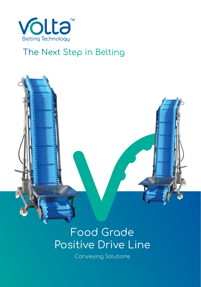

#### The Next Step in Belting



# Food Grade Positive Drive Line

Conveying Solutions Conveying Solutions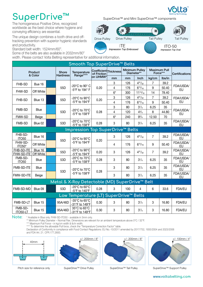### **SuperDrive™**

The homogeneous Positive Drive, recognized worldwide as the best choice where hygiene and conveying efficiency are essential.

The unique design combines a tooth drive and offtracking prevention with superior hygienic standards and productivity.

Standard belt width: 1524mm/60".

Some of the belts are also available in 2032mm/80"

width. Please contact Volta Belting representative for additional information.

|                                                |                      |  |                                 | Smooth Top SuperDrive™ Belts                          |                                      |                |               |                                     |                |                                 |                        |      |    |                        |
|------------------------------------------------|----------------------|--|---------------------------------|-------------------------------------------------------|--------------------------------------|----------------|---------------|-------------------------------------|----------------|---------------------------------|------------------------|------|----|------------------------|
| Product<br>& Color                             |                      |  | <b>Shore</b><br><b>Hardness</b> | Temperature<br>Range****                              | Coefficient Thickness<br>of Friction |                |               | <b>Minimum Pulley</b><br>Diameter** |                | <b>Maximum Pull</b><br>Force*** | Certifications         |      |    |                        |
|                                                |                      |  |                                 |                                                       | on UHMW*                             | mm             | mm            | Inch                                | kg/cm          | Ibs/in                          |                        |      |    |                        |
| FHB-SD                                         | Bue 16               |  |                                 |                                                       |                                      | 3              | 126           | $4^{31}/_{32}$                      | $\overline{7}$ | 39.2                            |                        |      |    |                        |
|                                                |                      |  | 55D                             | -20°C to 90° C<br>-5°F to 194° F                      | 0.20                                 | 4              | 176           | $6^{15}/_{16}$                      | 9              | 50.40                           | FDA/USDA/<br>EU        |      |    |                        |
| FHW-SD                                         | Off White            |  |                                 |                                                       |                                      | $6*$           | 300           | $11^{13}/_{16}$                     | 14             | 78.40                           |                        |      |    |                        |
| FHB-SD                                         |                      |  | 55D                             | -20°C to 90°C                                         | 0.20                                 | 3              | 126           | $4^{31}/_{32}$                      | $\overline{7}$ | 39.2                            | FDA/USDA/              |      |    |                        |
|                                                | Blue 13              |  |                                 | -5°F to 194°F                                         |                                      | $\overline{4}$ | 176           | $6^{15}/_{16}$                      | 9              | 50.40                           | <b>EU</b>              |      |    |                        |
|                                                |                      |  |                                 |                                                       |                                      | 3              | 80            | $3^{1/4}$                           | 6.25           | 35                              |                        |      |    |                        |
| FMB-SD                                         | <b>Blue</b>          |  | 53D                             | -20°C to 70°C<br>-5°F to 158°F                        | 0.28                                 | 4              | 120           | $4^{3}/_{4}$                        | 8              | 44.80                           | FDA/USDA/<br><b>EU</b> |      |    |                        |
| FMW-SD                                         | Beige                |  |                                 |                                                       |                                      | $6*$           | 240           | $9^{3}/_{4}$                        | 12.50          | 70                              |                        |      |    |                        |
| FMB-SD                                         | Blue 02              |  | 53D                             | -20 $^{\circ}$ C to 70 $^{\circ}$ C<br>-5°F to 158°F  | 0.28                                 | 3              | 80            | $3^{1}/_{4}$                        | 6.25           | 35                              | FDA/USDA/<br><b>EU</b> |      |    |                        |
|                                                |                      |  |                                 | Impression Top SuperDrive™ Belts                      |                                      |                |               |                                     |                |                                 |                        |      |    |                        |
| FHB-SD-<br><b>ITO50</b>                        | Blue 16              |  |                                 | -20 $^{\circ}$ C to 90 $^{\circ}$ C                   |                                      | 3              | 126           | $4^{31}/_{32}$                      | $\overline{7}$ | 39.2                            | FDA/USDA/<br>EU        |      |    |                        |
| FHW-SD-<br>ITO50*                              | Off White            |  | 55D                             | $-5^{\circ}$ F to 194 $^{\circ}$ F                    | 0.20                                 | $\overline{4}$ | 176           | $6^{15}/_{16}$                      | 9              | 50.40                           | FDA/USDA/<br>EU        |      |    |                        |
| FHB-SD-ITE<br>FHW-SD-ITE                       | Blue 16<br>Off White |  | 55D                             | -20 $^{\circ}$ C to 90 $^{\circ}$ C<br>-5°F to 194°F  | 0.20                                 | 3              | 126           | $4^{31}/_{32}$                      | $\overline{7}$ | 39.2                            | FDA/USDA/<br>EU        |      |    |                        |
| FMB-SD-<br><b>ITO50</b>                        | Blue                 |  | 53D                             | -20°C to 70°C<br>-5°F to 158°F                        | 0.28                                 | 3              | 80            | $3^{1}/_{4}$                        | 6.25           | 35                              | FDA/USDA/<br>EU        |      |    |                        |
| FMB-SD-ITE                                     | <b>Blue</b>          |  |                                 | -20 $^{\circ}$ C to 70 $^{\circ}$ C                   |                                      | 3              | 80            | $3^{1}/_{4}$                        | 6.25           | 35                              | FDA/USDA/<br>EU        |      |    |                        |
| FMW-SD-ITE                                     | Beige                |  | 53D                             |                                                       |                                      |                | -5°F to 158°F | 0.28                                | 3              | 80                              | $3^{1}/_{4}$           | 6.25 | 35 | FDA/USDA/<br><b>EU</b> |
| Metal & X-Ray Detectable (MD) SuperDrive™ Belt |                      |  |                                 |                                                       |                                      |                |               |                                     |                |                                 |                        |      |    |                        |
| FMB-SD-MD                                      | Blue 09              |  | 53D                             | -20 $^{\circ}$ C to 60 $^{\circ}$ C<br>-5°F to 140°F  | 0.28                                 | 3              | 100           | 4                                   | 6              | 33.6                            | FDA/EU                 |      |    |                        |
|                                                |                      |  |                                 | Low Temperature (LT) SuperDrive™ Belts                |                                      |                |               |                                     |                |                                 |                        |      |    |                        |
| FMB-SD-LT                                      | Blue 15              |  | 95A/46D                         | -35 $^{\circ}$ C to 65 $^{\circ}$ C<br>-31°F to 149°F | 0.30                                 | 3              | 80            | $3^{1}/_{4}$                        | 3              | 16.80                           | <b>FDA/EU</b>          |      |    |                        |
| FMB-SD-<br>ITO50-LT                            | Blue 15              |  | 95A/46D                         | 35°C to 65°C<br>-31°F to 149°F                        | 0.30                                 | 3              | 80            | $3^{1}/_{4}$                        | 3              | 16.80                           | <b>FDA/EU</b>          |      |    |                        |

**Note:** \* Available in Blue only. FHW-SD-ITO50 - available in 3mm only.

\*\* Minimum Pulley Diameter – Normal Flex. Dimensions are relevant for an ambient temperature above 0°C / 32°F.

\*\*\* Maximum Pull Force – in kg/cm width & lb/in width.

\*\*\*\* To determine the allowable Pull force, check the "Temperature Correction Factor" table.

Declaration of Conformity in compliance with Food Contact Regulations: EU No.-10/2011 amended by 2017/752, 1935/2004 and 2023/2006 and FDA Art. 21. CFR.177.2600.





SuperDrive™ Drive Pulley



Pitch size for reference only SuperDrive™ Drive Pulley SuperDrive™ Tail Pulley

 $+/- 200$ mm / 8"  $+/- 100$ mm / 4"

#### SuperDrive™ Support Pulley

**www.voltabelting.com**





Impression Top Embossed

**ITO-50** Impression Top Oval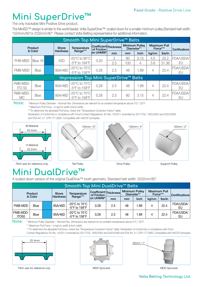## **Mini SuperDrive™**

The only trackable Mini Positive Drive product.

The MiniSD™ design is similar to the world leader, Volta SuperDrive™; scaled down for a smaller minimum pulley.Standard belt width: 1524mm/60"or 2032mm/80". Please contact Volta Belting representative for additional information.

| Smooth Top Mini SuperDrive™ Belts     |             |              |                 |                                                      |          |                                     |     |                                 |       |                               |                        |
|---------------------------------------|-------------|--------------|-----------------|------------------------------------------------------|----------|-------------------------------------|-----|---------------------------------|-------|-------------------------------|------------------------|
| Product<br>& Color                    |             | <b>Shore</b> | Temperature     | Coefficient Thickness<br>of Friction                 |          | <b>Minimum Pulley</b><br>Diameter** |     | <b>Maximum Pull</b><br>Force*** |       | <b>Certifications</b>         |                        |
|                                       |             |              | <b>Hardness</b> | Range***                                             | on UHMW* | mm                                  | mm  | <b>Inch</b>                     | kg/cm | lbs/in                        |                        |
|                                       |             |              |                 | $-20^{\circ}$ C to $90^{\circ}$ C                    |          |                                     | 80  | 3.15                            | 4.5   | 25.2                          | FDA/USDA/              |
| <b>FHB-MSD</b>                        | Blue 16     |              | 55D             | -5°F to 194°F                                        | 0.20     | 2.5                                 | 100 | 4                               | 5.6   | 31.36<br>22.4<br>22.4<br>22.4 | EU                     |
| FMB-MSD                               | <b>Blue</b> |              | 95A/46D         | -20 $^{\circ}$ C to 70 $^{\circ}$ C<br>-5°F to 158°F | 0.28     | 2.5                                 | 48  | 1.89                            | 4     |                               | FDA/USDA/<br>EU        |
| Impression Top Mini SuperDrive™ Belts |             |              |                 |                                                      |          |                                     |     |                                 |       |                               |                        |
| FMB-MSD-<br><b>ITO 50</b>             | <b>Blue</b> |              | 95A/46D         | $-20^{\circ}$ C to $70^{\circ}$ C<br>-5°F to 158°F   | 0.28     | 2.5                                 | 48  | 1.89                            | 4     |                               | <b>FDA/USDA/</b><br>EU |
| FMB-MSD-<br><b>MC</b>                 | <b>Blue</b> |              | 95A/46D         | $-20^{\circ}$ C to $70^{\circ}$ C<br>-5°F to 158°F   | 0.28     | 2.5                                 | 80  | 3.15                            | 4     |                               | FDA/USDA/<br>FU        |

**Note:** \* Minimum Pulley Diameter – Normal Flex. Dimensions are relevant for an ambient temperature above 0°C / 32°F.

\*\* Maximum Pull Force – in kg/cm width & lb/in width.

\*\*\*To determine the allowable Pull force, check the "Temperature Correction Factor" table.

Declaration of Conformity in compliance with Food Contact Regulations: EU No.-10/2011 amended by 2017/752, 1935/2004 and 2023/2006 and FDA Art. 21. CFR.177.2600. Compatible with HACCP principles.



# **Mini DualDrive™**

A scaled-down version of the original DualDrive™ tooth geometry. Standard belt width: 2032mm/80".

| Smooth Top Mini DualDrive™ Belts |             |                 |              |                                                                           |                                      |     |                                     |       |        |                                 |                       |  |
|----------------------------------|-------------|-----------------|--------------|---------------------------------------------------------------------------|--------------------------------------|-----|-------------------------------------|-------|--------|---------------------------------|-----------------------|--|
| Product                          |             |                 | <b>Shore</b> | Temperature                                                               | Coefficient Thickness<br>of Friction |     | <b>Minimum Pulley</b><br>Diameter** |       |        | <b>Maximum Pull</b><br>Force*** | <b>Certifications</b> |  |
| & Color                          |             | <b>Hardness</b> | Range***     | ∣on UHMW*∣                                                                | mm                                   | mm  | Inch                                | kg/cm | lbs/in |                                 |                       |  |
| FMB-MDD                          | <b>Blue</b> |                 | 95A/46D      | -20 $^{\circ}$ C to 70 $^{\circ}$ C<br>$-5^{\circ}$ F to 158 $^{\circ}$ F | 0.28                                 | 2.5 | 48                                  | .89   | 4      | 22.4                            | FDA/USDA/<br>EU       |  |
| FMB-MDD-<br>ITO <sub>50</sub>    | <b>Blue</b> |                 | 95A/46D      | -20°C to 70°C<br>$-5^{\circ}$ F to 158 $^{\circ}$ F                       | 0.28                                 | 2.5 | 48                                  | .89   | 4      | 22.4                            | FDA/USDA/<br>EU       |  |

**Note:** \* Minimum Pulley Diameter – Normal Flex. Dimensions are relevant for an ambient temperature above 0°C / 32°F.

\*\* Maximum Pull Force – in kg/cm width & lb/in width.

\*\*\*To determine the allowable Pull force, check the "Temperature Correction Factor" table. Declaration of Conformity in compliance with Food

Contact Regulations: EU No.-10/2011 amended by 2017/752, 1935/2004 and 2023/2006 and FDA Art. 21. CFR.177.2600. Compatible with HACCP principles.







Pitch size for reference only **MDD** Sprocket MDD Sprocket MDD Sprocket MDD Sprocket

#### **Volta Belting Technology Ltd.**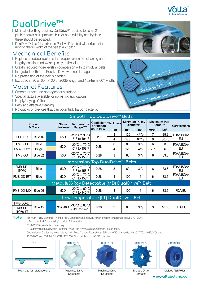

## **DualDrive™**

- **|** Minimal retrofitting required. DualDrive™ is suited to some 2" pitch modular belt sprockets but for both reliability and hygiene these should be replaced.
- **|** DualDrive™ is a fully extruded Positive Drive belt with drive teeth running the full width of the belt at a 2" pitch.

#### Mechanical Benefits:

- **|** Replaces modular systems that require extensive cleaning and lengthy soaking and wear quickly at the joints.
- **|** Greatly reduced noise levels in comparison with to modular belts.
- **|** Integrated teeth for a Positive Drive with no slippage.
- **|** No pretension of the belt is needed.
- **|** Extruded in 30 or 60m (100 or 200ft) length and 1524mm (60") width.

#### Material Features:

- **|** Smooth or textured homogeneous surface.
- **|** Special texture available for non-stick applications.
- **|** No ply/fraying of fibers.
- **|** Easy and effective cleaning.
- **|** No cracks or crevices that can potentially harbor bacteria.





| Smooth Top DualDrive™ Belts         |             |  |                 |                                                       |                                                  |    |                                     |                |                                 |        |                 |
|-------------------------------------|-------------|--|-----------------|-------------------------------------------------------|--------------------------------------------------|----|-------------------------------------|----------------|---------------------------------|--------|-----------------|
| Product<br>& Color                  |             |  | <b>Shore</b>    | <b>Temperature</b>                                    | Coefficient Thickness<br>of Friction<br>on UHMW* |    | <b>Minimum Pulley</b><br>Diameter** |                | <b>Maximum Pull</b><br>Force*** |        | Certifications  |
|                                     |             |  | <b>Hardness</b> | Range****                                             |                                                  | mm | mm                                  | Inch           | kg/cm                           | lbs/in |                 |
| FHB-DD                              | Blue 16     |  | 55D             | -20°C to 90°C                                         | 20                                               | 3  | 126                                 | $4^{31}/_{32}$ | 7                               | 39.2   | FDA/USDA/       |
|                                     |             |  |                 | -5°F to 194°F                                         |                                                  | 4  | 176                                 | $6^{15}/_{16}$ | 9                               | 50.40  | EU              |
| FMB-DD                              | <b>Blue</b> |  | 53D             | -20°C to 70°C                                         | 0.28                                             | 3  | 80                                  | $3^{1}/_{4}$   | 6                               | 33.6   | FDA/USDA/       |
| FMW-DD***                           | Beige       |  |                 | $-5^{\circ}$ F to 158 $^{\circ}$ F                    |                                                  | 4  | 120                                 | $4^{3}/_{4}$   | 7.7                             | 43     | EU              |
| FMB-DD                              | Blue 02     |  | 53D             | -20°C to 70°C<br>-5°F to 158°F                        | 0.28                                             | 3  | 80                                  | $3^{1}/_{4}$   | 6                               | 33.6   | FDA/USDA/<br>EU |
| Impression Top DualDrive™ Belts     |             |  |                 |                                                       |                                                  |    |                                     |                |                                 |        |                 |
| FMB-DD-<br><b>ITO50</b>             | Blue        |  | 53D             | -20°C to 70°C  <br>-5°F to $158$ °F                   | 0.28                                             | 3  | 80                                  | $3^{1}/_{4}$   | 6                               | 33.6   | FDA/USDA/<br>EU |
| FMB-DD-IRT                          | Blue        |  | 53D             | -20 $^{\circ}$ C to 70 $^{\circ}$ C<br>-5°F to 158°F  | 0.28                                             | 4  | 100                                 | 4              | 6                               | 33.6   | FDA/USDA/<br>EU |
|                                     |             |  |                 | Metal & X-Ray Detectable (MD) DualDrive™ Belt         |                                                  |    |                                     |                |                                 |        |                 |
| FMB-DD-MD                           | Blue 09     |  | 53D             | -20°C to 60°C  <br>$-5^{\circ}$ F to 140 $^{\circ}$ F | 0.28                                             | 3  | 100                                 | 4              | 6                               | 33.6   | <b>FDA/EU</b>   |
| Low Temperature (LT) DualDrive™ Bel |             |  |                 |                                                       |                                                  |    |                                     |                |                                 |        |                 |
| FMB-DD-LT                           |             |  |                 | -35°C to 65°C                                         |                                                  |    |                                     |                |                                 |        |                 |
| FMB-DD-<br>ITO50-LT                 | Blue 15     |  | 95A/46D         | -31°F to 149°F                                        | 0.30                                             | 3  | 80                                  | $3^{1}/_{4}$   | 3                               | 16.80  | <b>FDA/EU</b>   |

**Note:** Minimum Pulley Diameter – Normal Flex. Dimensions are relevant for an ambient temperature above 0°C / 32°F.

\*\* Maximum Pull Force – in kg/cm width & lb/in width.

\*\*\* FMW-DD - available in 3mm only.

\*\*\*To determine the allowable Pull force, check the "Temperature Correction Factor" table.

Declaration of Conformity in compliance with Food Contact Regulations: EU No.-10/2011 amended by 2017/752, 1935/2004 and

2023/2006 and FDA Art. 21. CFR.177.2600. Compatible with HACCP principles.



Pitch size for reference only



Machined Drive **Sprockets** 



Machined Drive **Sprockets** 



Molded Drive Sprocket





Molded Tail Roller **www.voltabelting.com**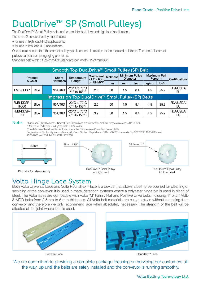# **DualDrive™ SP (Small Pulleys)**

The DualDrive™ Small Pulley belt can be used for both low and high load applications.

There are 2 series of pulleys applicable:

- for use in high load (HL) applications;
- for use in low load (LL) applications.

One should ensure that the correct pulley type is chosen in relation to the required pull force. The use of incorrect pulleys can cause disengaging problems.

Standard belt width : 1524mm/60".Standard belt width: 1524mm/60".

| Smooth Top DualDrive™ Small Pulley (SP) Belt      |             |                 |          |                                                                           |                                      |    |                                     |       |                                 |      |                 |  |
|---------------------------------------------------|-------------|-----------------|----------|---------------------------------------------------------------------------|--------------------------------------|----|-------------------------------------|-------|---------------------------------|------|-----------------|--|
| Product                                           |             |                 | Shore    | Temperature                                                               | Coefficient Thickness<br>of Friction |    | <b>Minimum Pulley</b><br>Diameter** |       | <b>Maximum Pull</b><br>Force*** |      | Certifications  |  |
| & Color                                           |             | <b>Hardness</b> | Range*** | on UHMW*                                                                  | mm                                   | mm | Inch                                | kg/cm | lbs/in                          |      |                 |  |
| <b>FMB-DDSP</b>                                   | Blue        |                 | 95A/46D  | -20 $^{\circ}$ C to 70 $^{\circ}$ C<br>$-5^{\circ}$ F to 158 $^{\circ}$ F | 2.5                                  | 50 | 1.5                                 | 8.4   | 4.5                             | 25.2 | FDA/USDA/<br>EU |  |
| Impression Top DualDrive™ Small Pulley (SP) Belts |             |                 |          |                                                                           |                                      |    |                                     |       |                                 |      |                 |  |
| FMB-DDSP-<br>ITO <sub>50</sub>                    | <b>Blue</b> |                 | 95A/46D  | -20 $^{\circ}$ C to 70 $^{\circ}$ C<br>-5°F to 158°F                      | 2.5                                  | 50 | 1.5                                 | 8.4   | 4.5                             | 25.2 | FDA/USDA/<br>EU |  |
| FMB-DDSP-<br><b>IRT</b>                           | <b>Blue</b> |                 | 95A/46D  | -20 $^{\circ}$ C to 70 $^{\circ}$ C<br>$-5^{\circ}$ F to 158 $^{\circ}$ F | 3.2                                  | 50 | 1.5                                 | 8.4   | 4.5                             | 25.2 | FDA/USDA/<br>EU |  |

**Note:** \* Minimum Pulley Diameter – Normal Flex. Dimensions are relevant for ambient temperature above 0°C / 32°F.

\*\* Maximum Pull Force – in kg/cm width & lb/in width.

\*\*\*To determine the allowable Pull force, check the "Temperature Correction Factor" table.

Declaration of Conformity in compliance with Food Contact Regulations: EU No.-10/2011 amended by 2017/752, 1935/2004 and 2023/2006 and FDA Art. 21. CFR.177.2600.



Pitch size for reference only



DualDrive™ Small Pulley for High Load



DualDrive<sup>™</sup> Small Pulley for Low Load

#### Volta Hinge Lace System

Both Volta Universal Lace and Volta Roundflex<sup>™</sup> lace is a device that allows a belt to be opened for cleaning or servicing of the conveyor. It is used in metal detection systems where a polyester hinge pin is used in place of steel. The Volta laces are compatible with Volta 'M' Family Flat and Positive Drive belts including 1" pitch MSD & MDD belts from 2.5mm to 5 mm thickness. All Volta belt materials are easy to clean without removing from conveyor and therefore we only recommend lace when absolutely necessary. The strength of the belt will be affected at the joint where lace is used.



Universal Lace Roundflex<sup>™</sup> Lace

We are committed to providing a complete package focusing on servicing our customers all the way, up until the belts are safely installed and the conveyor is running smoothly.